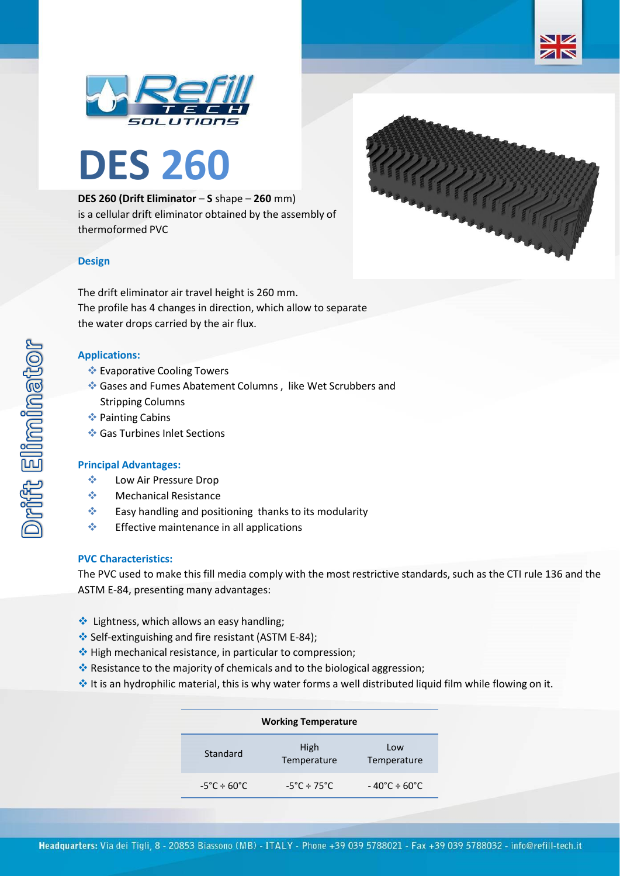





**DES 260 (Drift Eliminator** – **S** shape – **260** mm) is a cellular drift eliminator obtained by the assembly of thermoformed PVC

# **Design**

The drift eliminator air travel height is 260 mm. The profile has 4 changes in direction, which allow to separate the water drops carried by the air flux.

# **Applications:**

- ❖ Evaporative Cooling Towers
- ❖ Gases and Fumes Abatement Columns , like Wet Scrubbers and Stripping Columns
- ❖ Painting Cabins
- ❖ Gas Turbines Inlet Sections

## **Principal Advantages:**

- ❖ Low Air Pressure Drop
- ❖ Mechanical Resistance
- ❖ Easy handling and positioning thanks to its modularity
- ❖ Effective maintenance in all applications

## **PVC Characteristics:**

The PVC used to make this fill media comply with the most restrictive standards, such as the CTI rule 136 and the ASTM E-84, presenting many advantages:

- ❖ Lightness, which allows an easy handling;
- ❖ Self-extinguishing and fire resistant (ASTM E-84);
- ❖ High mechanical resistance, in particular to compression;
- ❖ Resistance to the majority of chemicals and to the biological aggression;
- ❖ It is an hydrophilic material, this is why water forms a well distributed liquid film while flowing on it.

| <b>Working Temperature</b>            |                                  |                                   |  |  |
|---------------------------------------|----------------------------------|-----------------------------------|--|--|
| Standard                              | High<br>Temperature              | Low<br>Temperature                |  |  |
| $-5^{\circ}$ C $\div$ 60 $^{\circ}$ C | $-5^{\circ}$ C ÷ 75 $^{\circ}$ C | $-40^{\circ}$ C ÷ 60 $^{\circ}$ C |  |  |